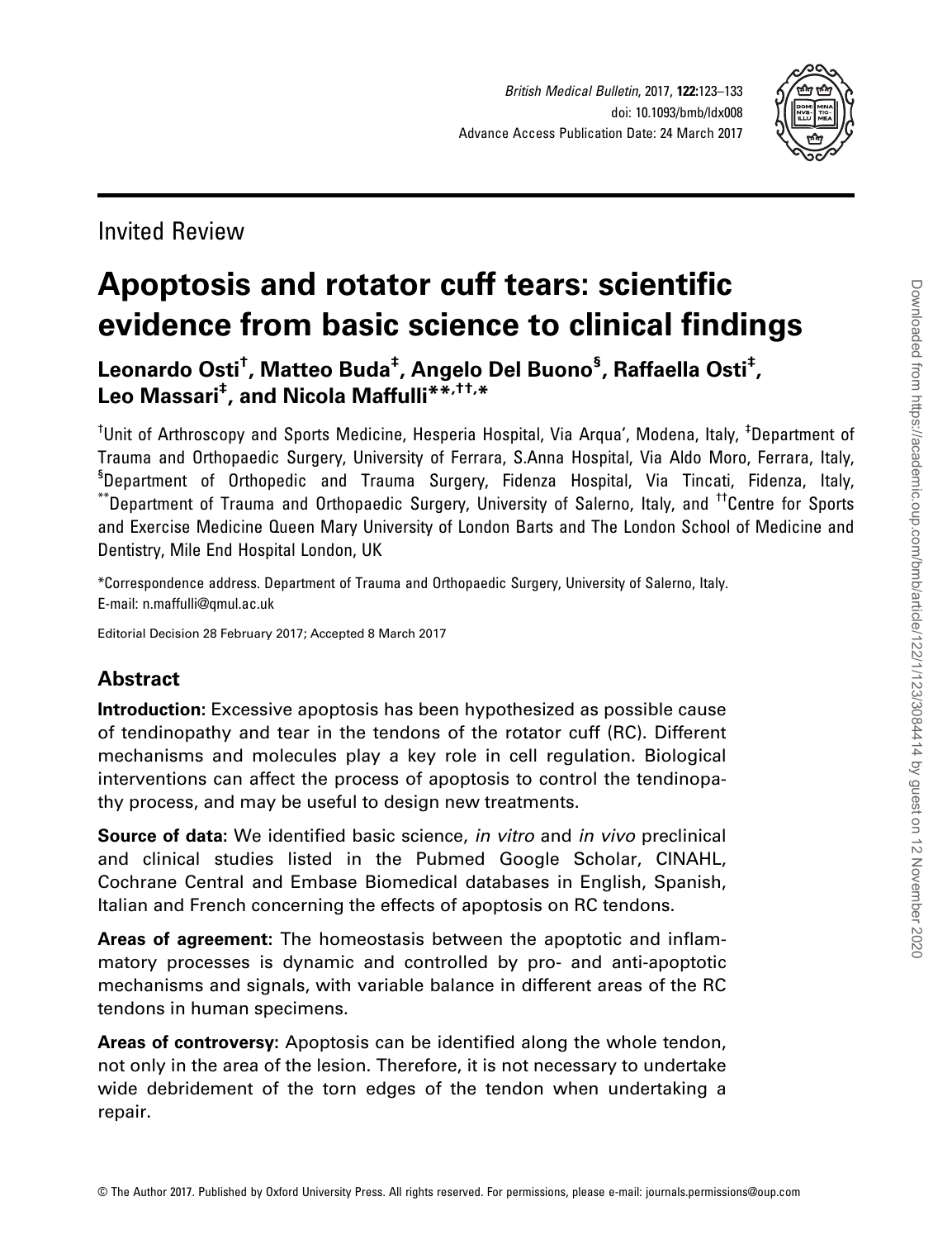

# Invited Review

# Apoptosis and rotator cuff tears: scientific evidence from basic science to clinical findings

Leonardo Osti<sup>†</sup>, Matteo Buda<sup>‡</sup>, Angelo Del Buono<sup>§</sup>, Raffaella Osti<sup>‡</sup>, Leo Massari<sup>‡</sup>, and Nicola Maffulli\*\*<sup>\*,††,</sup>\*

<sup>†</sup>Unit of Arthroscopy and Sports Medicine, Hesperia Hospital, Via Arqua', Modena, Italy, <sup>‡</sup>Department of Trauma and Orthopaedic Surgery, University of Ferrara, S.Anna Hospital, Via Aldo Moro, Ferrara, Italy, § Department of Orthopedic and Trauma Surgery, Fidenza Hospital, Via Tincati, Fidenza, Italy, \*\*Department of Trauma and Orthopaedic Surgery, University of Salerno, Italy, and ††Centre for Sports and Exercise Medicine Queen Mary University of London Barts and The London School of Medicine and Dentistry, Mile End Hospital London, UK

\*Correspondence address. Department of Trauma and Orthopaedic Surgery, University of Salerno, Italy. E-mail: n.maffulli@qmul.ac.uk

Editorial Decision 28 February 2017; Accepted 8 March 2017

# Abstract

Introduction: Excessive apoptosis has been hypothesized as possible cause of tendinopathy and tear in the tendons of the rotator cuff (RC). Different mechanisms and molecules play a key role in cell regulation. Biological interventions can affect the process of apoptosis to control the tendinopathy process, and may be useful to design new treatments.

Source of data: We identified basic science, in vitro and in vivo preclinical and clinical studies listed in the Pubmed Google Scholar, CINAHL, Cochrane Central and Embase Biomedical databases in English, Spanish, Italian and French concerning the effects of apoptosis on RC tendons.

Areas of agreement: The homeostasis between the apoptotic and inflammatory processes is dynamic and controlled by pro- and anti-apoptotic mechanisms and signals, with variable balance in different areas of the RC tendons in human specimens.

Areas of controversy: Apoptosis can be identified along the whole tendon, not only in the area of the lesion. Therefore, it is not necessary to undertake wide debridement of the torn edges of the tendon when undertaking a repair.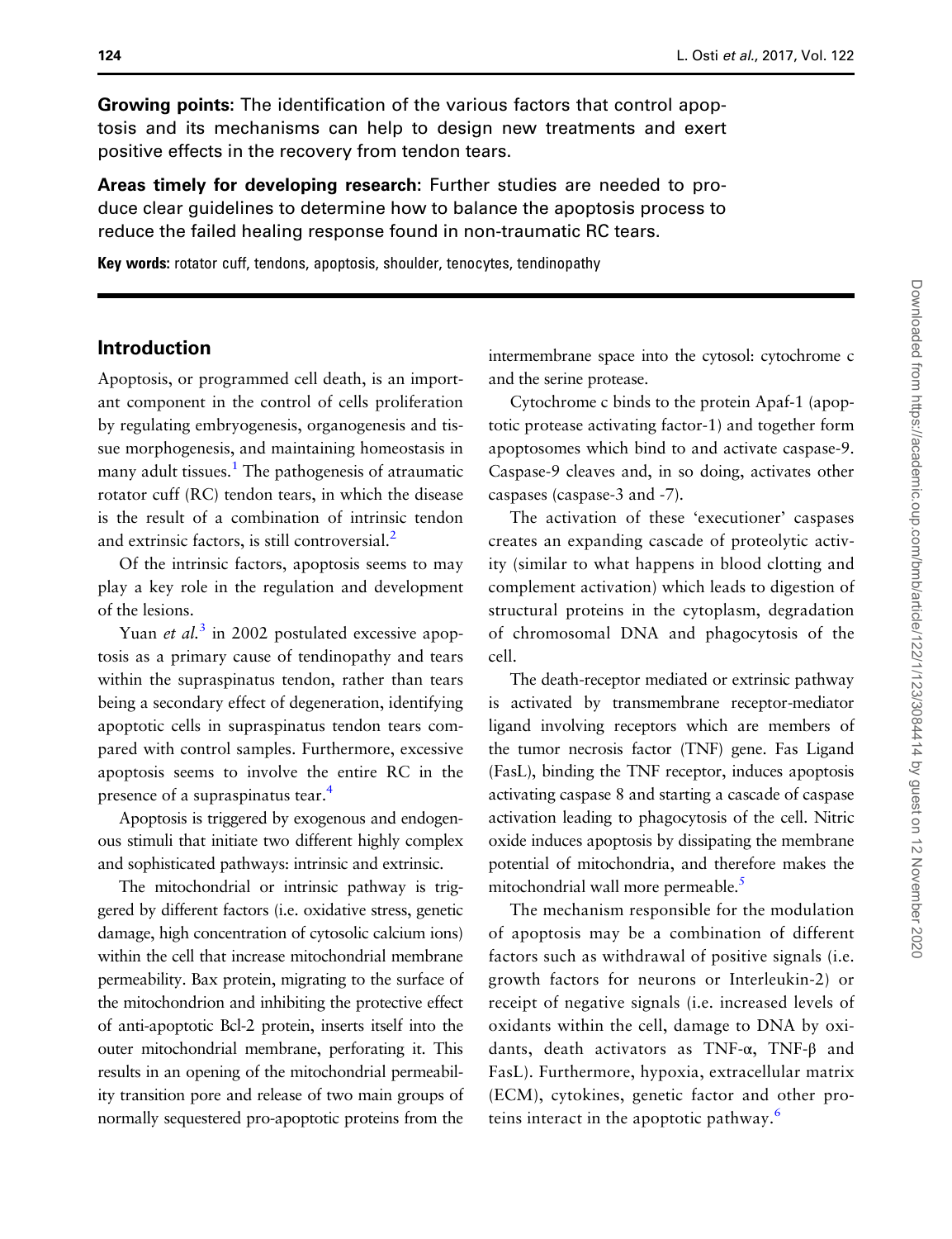Growing points: The identification of the various factors that control apoptosis and its mechanisms can help to design new treatments and exert positive effects in the recovery from tendon tears.

Areas timely for developing research: Further studies are needed to produce clear guidelines to determine how to balance the apoptosis process to reduce the failed healing response found in non-traumatic RC tears.

Key words: rotator cuff, tendons, apoptosis, shoulder, tenocytes, tendinopathy

# Introduction

Apoptosis, or programmed cell death, is an important component in the control of cells proliferation by regulating embryogenesis, organogenesis and tissue morphogenesis, and maintaining homeostasis in many adult tissues.<sup>[1](#page-8-0)</sup> The pathogenesis of atraumatic rotator cuff (RC) tendon tears, in which the disease is the result of a combination of intrinsic tendon and extrinsic factors, is still controversial. $<sup>2</sup>$ </sup>

Of the intrinsic factors, apoptosis seems to may play a key role in the regulation and development of the lesions.

Yuan *et al.*<sup>[3](#page-8-0)</sup> in 2002 postulated excessive apoptosis as a primary cause of tendinopathy and tears within the supraspinatus tendon, rather than tears being a secondary effect of degeneration, identifying apoptotic cells in supraspinatus tendon tears compared with control samples. Furthermore, excessive apoptosis seems to involve the entire RC in the presence of a supraspinatus tear.<sup>[4](#page-8-0)</sup>

Apoptosis is triggered by exogenous and endogenous stimuli that initiate two different highly complex and sophisticated pathways: intrinsic and extrinsic.

The mitochondrial or intrinsic pathway is triggered by different factors (i.e. oxidative stress, genetic damage, high concentration of cytosolic calcium ions) within the cell that increase mitochondrial membrane permeability. Bax protein, migrating to the surface of the mitochondrion and inhibiting the protective effect of anti-apoptotic Bcl-2 protein, inserts itself into the outer mitochondrial membrane, perforating it. This results in an opening of the mitochondrial permeability transition pore and release of two main groups of normally sequestered pro-apoptotic proteins from the intermembrane space into the cytosol: cytochrome c and the serine protease.

Cytochrome c binds to the protein Apaf-1 (apoptotic protease activating factor-1) and together form apoptosomes which bind to and activate caspase-9. Caspase-9 cleaves and, in so doing, activates other caspases (caspase-3 and -7).

The activation of these 'executioner' caspases creates an expanding cascade of proteolytic activity (similar to what happens in blood clotting and complement activation) which leads to digestion of structural proteins in the cytoplasm, degradation of chromosomal DNA and phagocytosis of the cell.

The death-receptor mediated or extrinsic pathway is activated by transmembrane receptor-mediator ligand involving receptors which are members of the tumor necrosis factor (TNF) gene. Fas Ligand (FasL), binding the TNF receptor, induces apoptosis activating caspase 8 and starting a cascade of caspase activation leading to phagocytosis of the cell. Nitric oxide induces apoptosis by dissipating the membrane potential of mitochondria, and therefore makes the mitochondrial wall more permeable.<sup>[5](#page-8-0)</sup>

The mechanism responsible for the modulation of apoptosis may be a combination of different factors such as withdrawal of positive signals (i.e. growth factors for neurons or Interleukin-2) or receipt of negative signals (i.e. increased levels of oxidants within the cell, damage to DNA by oxidants, death activators as TNF-α, TNF-β and FasL). Furthermore, hypoxia, extracellular matrix (ECM), cytokines, genetic factor and other proteins interact in the apoptotic pathway.[6](#page-8-0)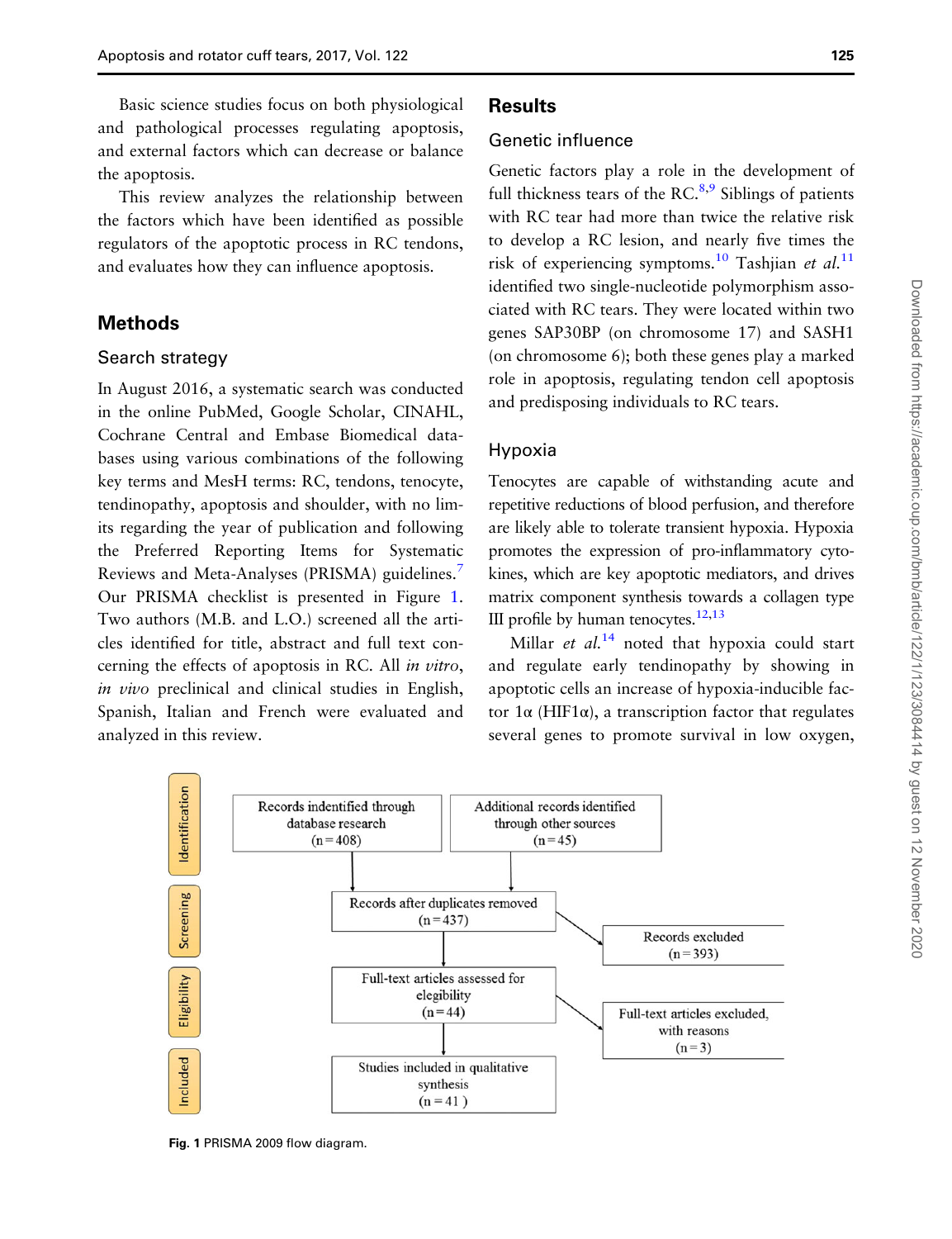This review analyzes the relationship between the factors which have been identified as possible regulators of the apoptotic process in RC tendons, and evaluates how they can influence apoptosis.

# Methods

## Search strategy

In August 2016, a systematic search was conducted in the online PubMed, Google Scholar, CINAHL, Cochrane Central and Embase Biomedical databases using various combinations of the following key terms and MesH terms: RC, tendons, tenocyte, tendinopathy, apoptosis and shoulder, with no limits regarding the year of publication and following the Preferred Reporting Items for Systematic Reviews and Meta-Analyses (PRISMA) guidelines.<sup>[7](#page-8-0)</sup> Our PRISMA checklist is presented in Figure 1. Two authors (M.B. and L.O.) screened all the articles identified for title, abstract and full text concerning the effects of apoptosis in RC. All in vitro, in vivo preclinical and clinical studies in English, Spanish, Italian and French were evaluated and analyzed in this review.

# **Results**

# Genetic influence

Genetic factors play a role in the development of full thickness tears of the RC. $8,9$  Siblings of patients with RC tear had more than twice the relative risk to develop a RC lesion, and nearly five times the risk of experiencing symptoms.<sup>[10](#page-8-0)</sup> Tashjian et al.<sup>[11](#page-8-0)</sup> identified two single-nucleotide polymorphism associated with RC tears. They were located within two genes SAP30BP (on chromosome 17) and SASH1 (on chromosome 6); both these genes play a marked role in apoptosis, regulating tendon cell apoptosis and predisposing individuals to RC tears.

#### Hypoxia

Tenocytes are capable of withstanding acute and repetitive reductions of blood perfusion, and therefore are likely able to tolerate transient hypoxia. Hypoxia promotes the expression of pro-inflammatory cytokines, which are key apoptotic mediators, and drives matrix component synthesis towards a collagen type III profile by human tenocytes. $12,13$ 

Millar et  $al.^{14}$  $al.^{14}$  $al.^{14}$  noted that hypoxia could start and regulate early tendinopathy by showing in apoptotic cells an increase of hypoxia-inducible factor 1α (HIF1α), a transcription factor that regulates several genes to promote survival in low oxygen,



Fig. 1 PRISMA 2009 flow diagram.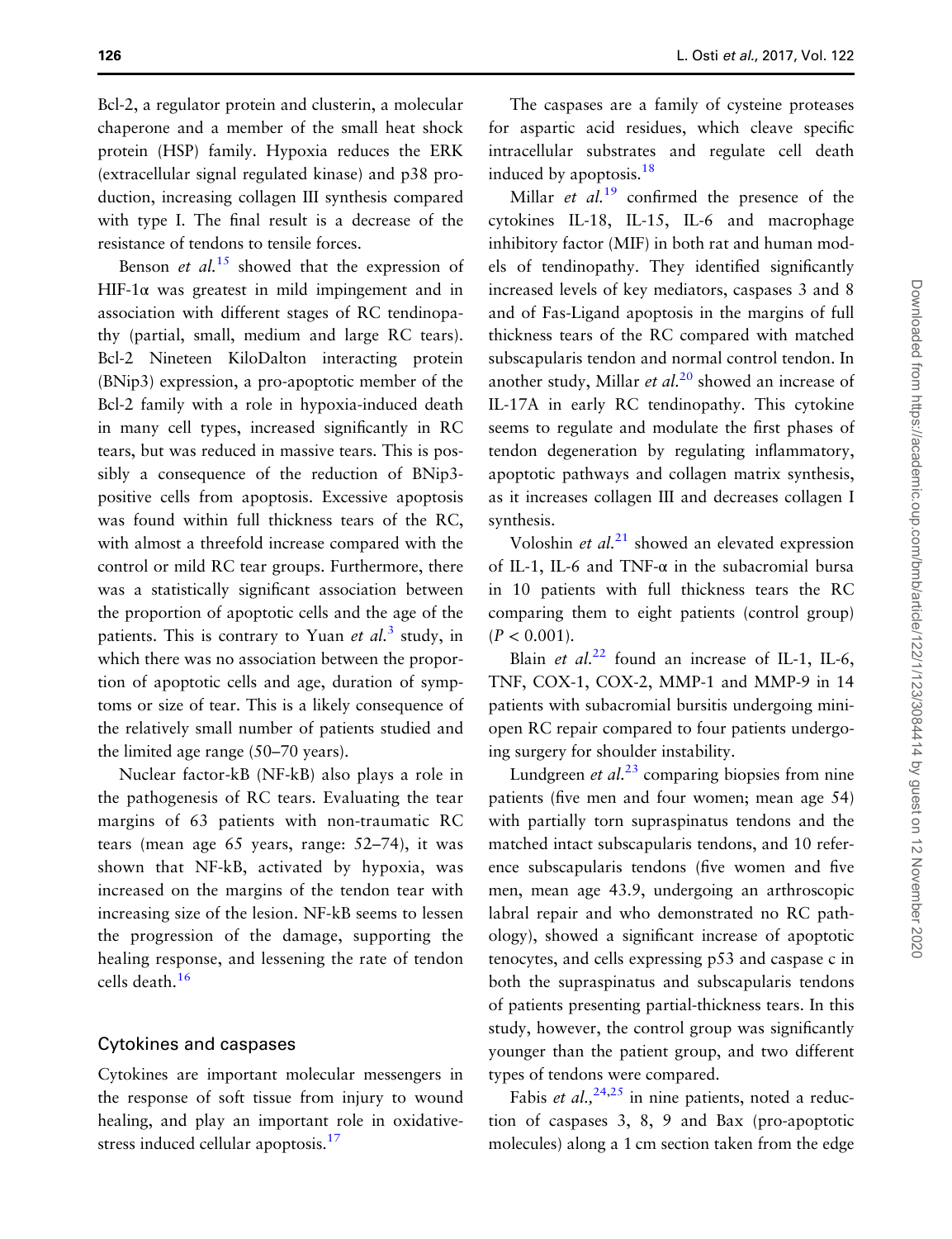Bcl-2, a regulator protein and clusterin, a molecular chaperone and a member of the small heat shock protein (HSP) family. Hypoxia reduces the ERK (extracellular signal regulated kinase) and p38 production, increasing collagen III synthesis compared with type I. The final result is a decrease of the resistance of tendons to tensile forces.

Benson *et al.*<sup>[15](#page-8-0)</sup> showed that the expression of HIF-1 $\alpha$  was greatest in mild impingement and in association with different stages of RC tendinopathy (partial, small, medium and large RC tears). Bcl-2 Nineteen KiloDalton interacting protein (BNip3) expression, a pro-apoptotic member of the Bcl-2 family with a role in hypoxia-induced death in many cell types, increased significantly in RC tears, but was reduced in massive tears. This is possibly a consequence of the reduction of BNip3 positive cells from apoptosis. Excessive apoptosis was found within full thickness tears of the RC, with almost a threefold increase compared with the control or mild RC tear groups. Furthermore, there was a statistically significant association between the proportion of apoptotic cells and the age of the patients. This is contrary to Yuan *et al.*<sup>[3](#page-8-0)</sup> study, in which there was no association between the proportion of apoptotic cells and age, duration of symptoms or size of tear. This is a likely consequence of the relatively small number of patients studied and the limited age range (50–70 years).

Nuclear factor-kB (NF-kB) also plays a role in the pathogenesis of RC tears. Evaluating the tear margins of 63 patients with non-traumatic RC tears (mean age 65 years, range: 52–74), it was shown that NF-kB, activated by hypoxia, was increased on the margins of the tendon tear with increasing size of the lesion. NF-kB seems to lessen the progression of the damage, supporting the healing response, and lessening the rate of tendon cells death.[16](#page-8-0)

#### Cytokines and caspases

Cytokines are important molecular messengers in the response of soft tissue from injury to wound healing, and play an important role in oxidativestress induced cellular apoptosis.<sup>17</sup>

The caspases are a family of cysteine proteases for aspartic acid residues, which cleave specific intracellular substrates and regulate cell death induced by apoptosis. $18$ 

Millar *et al.*<sup>[19](#page-8-0)</sup> confirmed the presence of the cytokines IL-18, IL-15, IL-6 and macrophage inhibitory factor (MIF) in both rat and human models of tendinopathy. They identified significantly increased levels of key mediators, caspases 3 and 8 and of Fas-Ligand apoptosis in the margins of full thickness tears of the RC compared with matched subscapularis tendon and normal control tendon. In another study, Millar et  $al.^{20}$  $al.^{20}$  $al.^{20}$  showed an increase of IL-17A in early RC tendinopathy. This cytokine seems to regulate and modulate the first phases of tendon degeneration by regulating inflammatory, apoptotic pathways and collagen matrix synthesis, as it increases collagen III and decreases collagen I synthesis.

Voloshin *et al.*<sup>[21](#page-9-0)</sup> showed an elevated expression of IL-1, IL-6 and TNF- $\alpha$  in the subacromial bursa in 10 patients with full thickness tears the RC comparing them to eight patients (control group)  $(P < 0.001)$ .

Blain et  $al^{22}$  $al^{22}$  $al^{22}$  found an increase of IL-1, IL-6, TNF, COX-1, COX-2, MMP-1 and MMP-9 in 14 patients with subacromial bursitis undergoing miniopen RC repair compared to four patients undergoing surgery for shoulder instability.

Lundgreen *et al.*<sup>[23](#page-9-0)</sup> comparing biopsies from nine patients (five men and four women; mean age 54) with partially torn supraspinatus tendons and the matched intact subscapularis tendons, and 10 reference subscapularis tendons (five women and five men, mean age 43.9, undergoing an arthroscopic labral repair and who demonstrated no RC pathology), showed a significant increase of apoptotic tenocytes, and cells expressing p53 and caspase c in both the supraspinatus and subscapularis tendons of patients presenting partial-thickness tears. In this study, however, the control group was significantly younger than the patient group, and two different types of tendons were compared.

Fabis et al.,  $24,25$  in nine patients, noted a reduction of caspases 3, 8, 9 and Bax (pro-apoptotic molecules) along a 1 cm section taken from the edge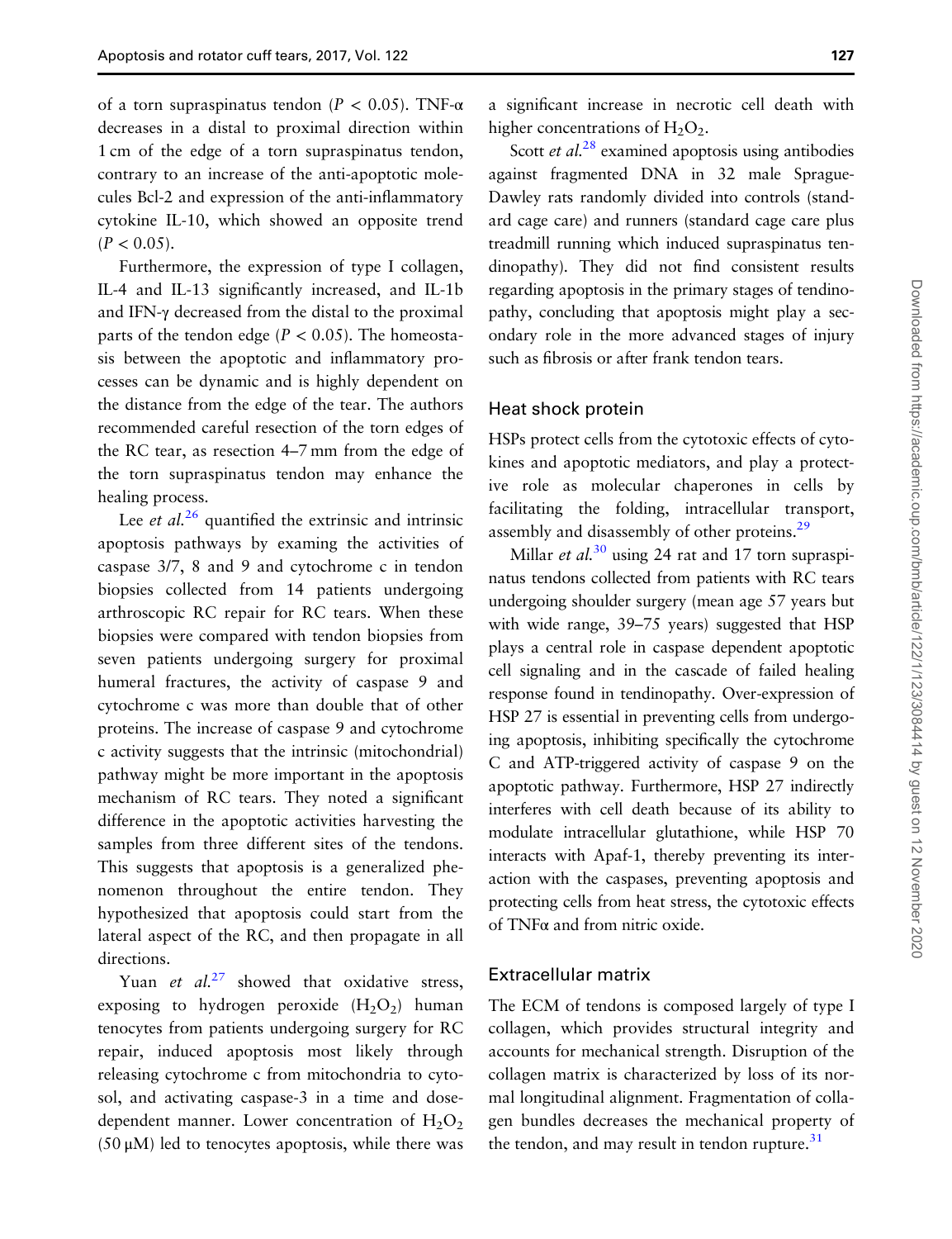of a torn supraspinatus tendon ( $P < 0.05$ ). TNF- $\alpha$ decreases in a distal to proximal direction within 1 cm of the edge of a torn supraspinatus tendon, contrary to an increase of the anti-apoptotic molecules Bcl-2 and expression of the anti-inflammatory cytokine IL-10, which showed an opposite trend  $(P < 0.05)$ .

Furthermore, the expression of type I collagen, IL-4 and IL-13 significantly increased, and IL-1b and IFN-γ decreased from the distal to the proximal parts of the tendon edge ( $P < 0.05$ ). The homeostasis between the apoptotic and inflammatory processes can be dynamic and is highly dependent on the distance from the edge of the tear. The authors recommended careful resection of the torn edges of the RC tear, as resection 4–7 mm from the edge of the torn supraspinatus tendon may enhance the healing process.

Lee *et al.*<sup>[26](#page-9-0)</sup> quantified the extrinsic and intrinsic apoptosis pathways by examing the activities of caspase 3/7, 8 and 9 and cytochrome c in tendon biopsies collected from 14 patients undergoing arthroscopic RC repair for RC tears. When these biopsies were compared with tendon biopsies from seven patients undergoing surgery for proximal humeral fractures, the activity of caspase 9 and cytochrome c was more than double that of other proteins. The increase of caspase 9 and cytochrome c activity suggests that the intrinsic (mitochondrial) pathway might be more important in the apoptosis mechanism of RC tears. They noted a significant difference in the apoptotic activities harvesting the samples from three different sites of the tendons. This suggests that apoptosis is a generalized phenomenon throughout the entire tendon. They hypothesized that apoptosis could start from the lateral aspect of the RC, and then propagate in all directions.

Yuan et  $al^{27}$  $al^{27}$  $al^{27}$  showed that oxidative stress, exposing to hydrogen peroxide  $(H_2O_2)$  human tenocytes from patients undergoing surgery for RC repair, induced apoptosis most likely through releasing cytochrome c from mitochondria to cytosol, and activating caspase-3 in a time and dosedependent manner. Lower concentration of  $H_2O_2$ (50 μM) led to tenocytes apoptosis, while there was

a significant increase in necrotic cell death with higher concentrations of  $H_2O_2$ .

Scott *et al.*<sup>[28](#page-9-0)</sup> examined apoptosis using antibodies against fragmented DNA in 32 male Sprague-Dawley rats randomly divided into controls (standard cage care) and runners (standard cage care plus treadmill running which induced supraspinatus tendinopathy). They did not find consistent results regarding apoptosis in the primary stages of tendinopathy, concluding that apoptosis might play a secondary role in the more advanced stages of injury such as fibrosis or after frank tendon tears.

#### Heat shock protein

HSPs protect cells from the cytotoxic effects of cytokines and apoptotic mediators, and play a protective role as molecular chaperones in cells by facilitating the folding, intracellular transport, assembly and disassembly of other proteins.<sup>[29](#page-9-0)</sup>

Millar *et al.*<sup>[30](#page-9-0)</sup> using 24 rat and 17 torn supraspinatus tendons collected from patients with RC tears undergoing shoulder surgery (mean age 57 years but with wide range, 39–75 years) suggested that HSP plays a central role in caspase dependent apoptotic cell signaling and in the cascade of failed healing response found in tendinopathy. Over-expression of HSP 27 is essential in preventing cells from undergoing apoptosis, inhibiting specifically the cytochrome C and ATP-triggered activity of caspase 9 on the apoptotic pathway. Furthermore, HSP 27 indirectly interferes with cell death because of its ability to modulate intracellular glutathione, while HSP 70 interacts with Apaf-1, thereby preventing its interaction with the caspases, preventing apoptosis and protecting cells from heat stress, the cytotoxic effects of TNFα and from nitric oxide.

#### Extracellular matrix

The ECM of tendons is composed largely of type I collagen, which provides structural integrity and accounts for mechanical strength. Disruption of the collagen matrix is characterized by loss of its normal longitudinal alignment. Fragmentation of collagen bundles decreases the mechanical property of the tendon, and may result in tendon rupture.<sup>[31](#page-9-0)</sup>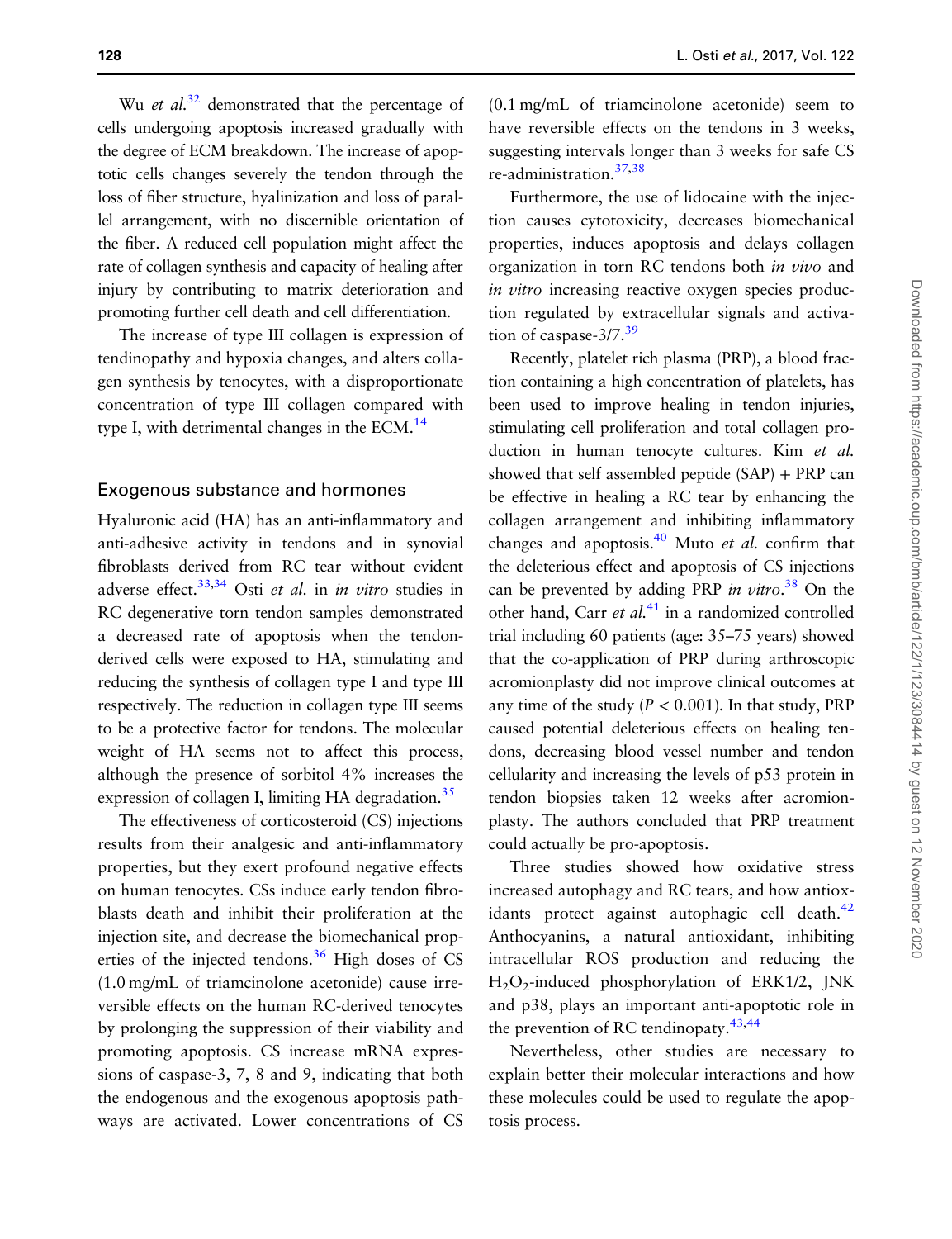Wu *et al.*<sup>[32](#page-9-0)</sup> demonstrated that the percentage of cells undergoing apoptosis increased gradually with the degree of ECM breakdown. The increase of apoptotic cells changes severely the tendon through the loss of fiber structure, hyalinization and loss of parallel arrangement, with no discernible orientation of the fiber. A reduced cell population might affect the rate of collagen synthesis and capacity of healing after injury by contributing to matrix deterioration and promoting further cell death and cell differentiation.

The increase of type III collagen is expression of tendinopathy and hypoxia changes, and alters collagen synthesis by tenocytes, with a disproportionate concentration of type III collagen compared with type I, with detrimental changes in the  $ECM<sup>14</sup>$  $ECM<sup>14</sup>$  $ECM<sup>14</sup>$ 

#### Exogenous substance and hormones

Hyaluronic acid (HA) has an anti-inflammatory and anti-adhesive activity in tendons and in synovial fibroblasts derived from RC tear without evident adverse effect.<sup>33,34</sup> Osti et al. in in vitro studies in RC degenerative torn tendon samples demonstrated a decreased rate of apoptosis when the tendonderived cells were exposed to HA, stimulating and reducing the synthesis of collagen type I and type III respectively. The reduction in collagen type III seems to be a protective factor for tendons. The molecular weight of HA seems not to affect this process, although the presence of sorbitol 4% increases the expression of collagen I, limiting HA degradation.<sup>35</sup>

The effectiveness of corticosteroid (CS) injections results from their analgesic and anti-inflammatory properties, but they exert profound negative effects on human tenocytes. CSs induce early tendon fibroblasts death and inhibit their proliferation at the injection site, and decrease the biomechanical properties of the injected tendons. $36$  High doses of CS (1.0 mg/mL of triamcinolone acetonide) cause irreversible effects on the human RC-derived tenocytes by prolonging the suppression of their viability and promoting apoptosis. CS increase mRNA expressions of caspase-3, 7, 8 and 9, indicating that both the endogenous and the exogenous apoptosis pathways are activated. Lower concentrations of CS

(0.1 mg/mL of triamcinolone acetonide) seem to have reversible effects on the tendons in 3 weeks, suggesting intervals longer than 3 weeks for safe CS re-administration[.37,38](#page-9-0)

Furthermore, the use of lidocaine with the injection causes cytotoxicity, decreases biomechanical properties, induces apoptosis and delays collagen organization in torn RC tendons both in vivo and in vitro increasing reactive oxygen species production regulated by extracellular signals and activa-tion of caspase-3/7.<sup>[39](#page-9-0)</sup>

Recently, platelet rich plasma (PRP), a blood fraction containing a high concentration of platelets, has been used to improve healing in tendon injuries, stimulating cell proliferation and total collagen production in human tenocyte cultures. Kim et al. showed that self assembled peptide (SAP) + PRP can be effective in healing a RC tear by enhancing the collagen arrangement and inhibiting inflammatory changes and apoptosis.<sup>40</sup> Muto *et al.* confirm that the deleterious effect and apoptosis of CS injections can be prevented by adding PRP in vitro.<sup>[38](#page-9-0)</sup> On the other hand, Carr et  $al$ <sup>[41](#page-9-0)</sup> in a randomized controlled trial including 60 patients (age: 35–75 years) showed that the co-application of PRP during arthroscopic acromionplasty did not improve clinical outcomes at any time of the study ( $P < 0.001$ ). In that study, PRP caused potential deleterious effects on healing tendons, decreasing blood vessel number and tendon cellularity and increasing the levels of p53 protein in tendon biopsies taken 12 weeks after acromionplasty. The authors concluded that PRP treatment could actually be pro-apoptosis.

Three studies showed how oxidative stress increased autophagy and RC tears, and how antioxidants protect against autophagic cell death. $42$ Anthocyanins, a natural antioxidant, inhibiting intracellular ROS production and reducing the H2O2-induced phosphorylation of ERK1/2, JNK and p38, plays an important anti-apoptotic role in the prevention of RC tendinopaty.<sup>[43,44](#page-9-0)</sup>

Nevertheless, other studies are necessary to explain better their molecular interactions and how these molecules could be used to regulate the apoptosis process.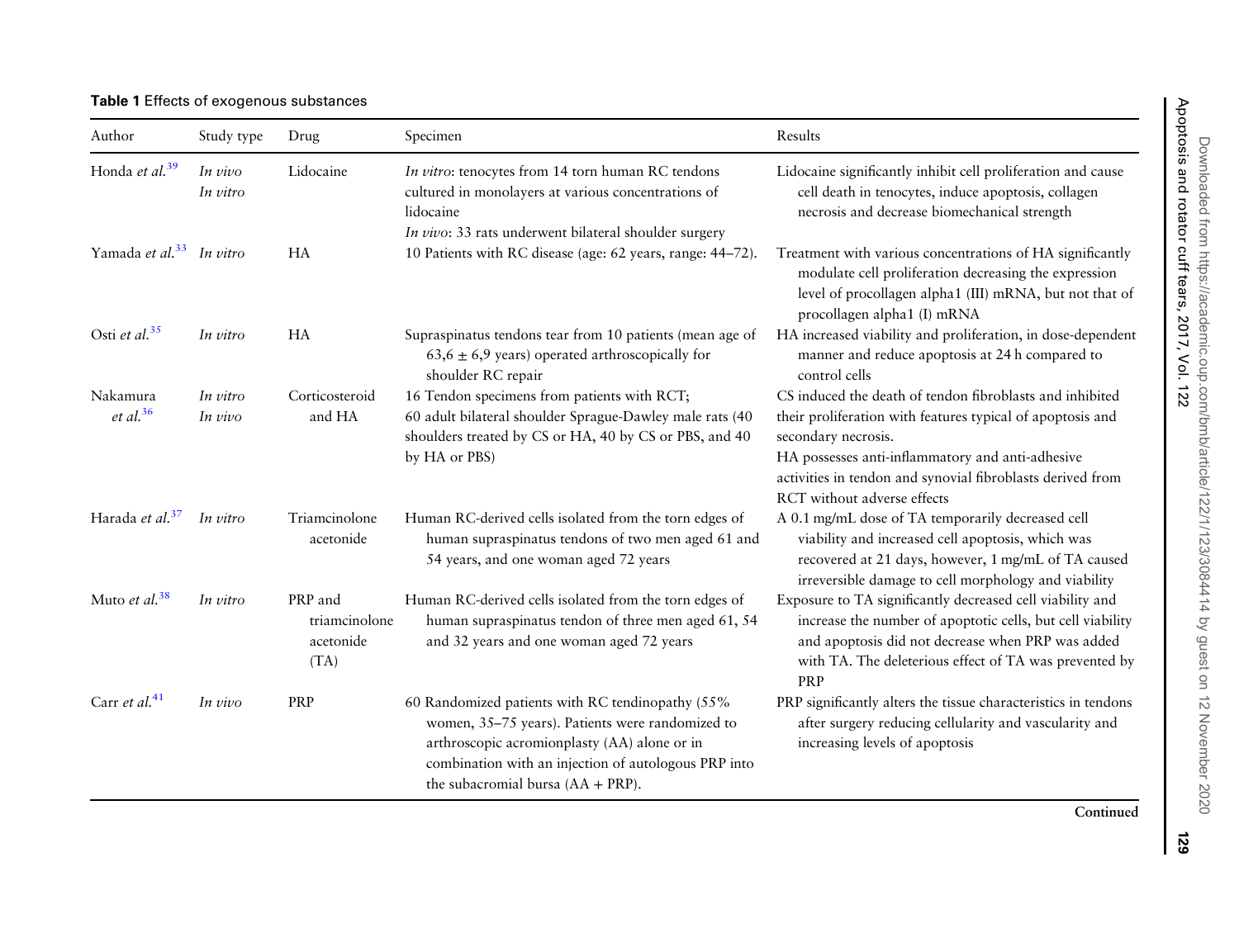<span id="page-6-0"></span>Table 1 Effects of exogenous substances

| Author                               | Study type          | Drug                                          | Specimen                                                                                                                                                                                                                                             | Results                                                                                                                                                                                                                                                                                        |
|--------------------------------------|---------------------|-----------------------------------------------|------------------------------------------------------------------------------------------------------------------------------------------------------------------------------------------------------------------------------------------------------|------------------------------------------------------------------------------------------------------------------------------------------------------------------------------------------------------------------------------------------------------------------------------------------------|
| Honda et al. <sup>39</sup>           | In vivo<br>In vitro | Lidocaine                                     | In vitro: tenocytes from 14 torn human RC tendons<br>cultured in monolayers at various concentrations of<br>lidocaine<br>In vivo: 33 rats underwent bilateral shoulder surgery                                                                       | Lidocaine significantly inhibit cell proliferation and cause<br>cell death in tenocytes, induce apoptosis, collagen<br>necrosis and decrease biomechanical strength                                                                                                                            |
| Yamada et al. <sup>33</sup> In vitro |                     | <b>HA</b>                                     | 10 Patients with RC disease (age: 62 years, range: 44-72).                                                                                                                                                                                           | Treatment with various concentrations of HA significantly<br>modulate cell proliferation decreasing the expression<br>level of procollagen alpha1 (III) mRNA, but not that of<br>procollagen alpha1 (I) mRNA                                                                                   |
| Osti et al. $35$                     | In vitro            | <b>HA</b>                                     | Supraspinatus tendons tear from 10 patients (mean age of<br>$63,6 \pm 6,9$ years) operated arthroscopically for<br>shoulder RC repair                                                                                                                | HA increased viability and proliferation, in dose-dependent<br>manner and reduce apoptosis at 24 h compared to<br>control cells                                                                                                                                                                |
| Nakamura<br>$et$ al. <sup>36</sup>   | In vitro<br>In vivo | Corticosteroid<br>and HA                      | 16 Tendon specimens from patients with RCT;<br>60 adult bilateral shoulder Sprague-Dawley male rats (40<br>shoulders treated by CS or HA, 40 by CS or PBS, and 40<br>by HA or PBS)                                                                   | CS induced the death of tendon fibroblasts and inhibited<br>their proliferation with features typical of apoptosis and<br>secondary necrosis.<br>HA possesses anti-inflammatory and anti-adhesive<br>activities in tendon and synovial fibroblasts derived from<br>RCT without adverse effects |
| Harada et al. <sup>37</sup>          | In vitro            | Triamcinolone<br>acetonide                    | Human RC-derived cells isolated from the torn edges of<br>human supraspinatus tendons of two men aged 61 and<br>54 years, and one woman aged 72 years                                                                                                | A 0.1 mg/mL dose of TA temporarily decreased cell<br>viability and increased cell apoptosis, which was<br>recovered at 21 days, however, 1 mg/mL of TA caused<br>irreversible damage to cell morphology and viability                                                                          |
| Muto et al. <sup>38</sup>            | In vitro            | PRP and<br>triamcinolone<br>acetonide<br>(TA) | Human RC-derived cells isolated from the torn edges of<br>human supraspinatus tendon of three men aged 61, 54<br>and 32 years and one woman aged 72 years                                                                                            | Exposure to TA significantly decreased cell viability and<br>increase the number of apoptotic cells, but cell viability<br>and apoptosis did not decrease when PRP was added<br>with TA. The deleterious effect of TA was prevented by<br>PRP                                                  |
| Carr et al. $41$                     | In vivo             | PRP                                           | 60 Randomized patients with RC tendinopathy (55%<br>women, 35-75 years). Patients were randomized to<br>arthroscopic acromionplasty (AA) alone or in<br>combination with an injection of autologous PRP into<br>the subacromial bursa $(AA + PRP)$ . | PRP significantly alters the tissue characteristics in tendons<br>after surgery reducing cellularity and vascularity and<br>increasing levels of apoptosis                                                                                                                                     |

Continued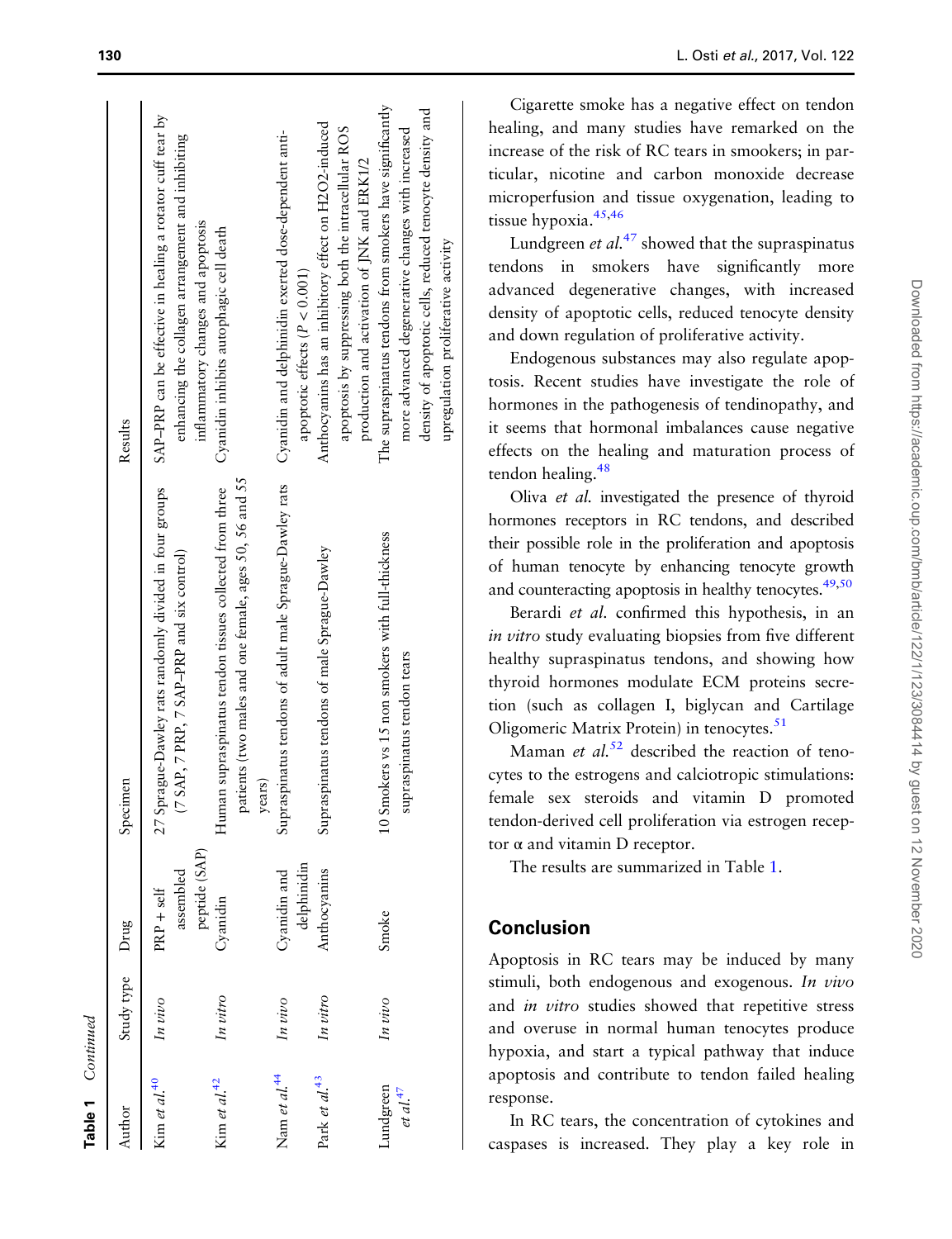| rmuon  |  |
|--------|--|
|        |  |
| ē<br>÷ |  |

| uthor                            | Study type Drug |                                            | Specimen                                                                                                                    | Results                                                                                                                                                                                                           |
|----------------------------------|-----------------|--------------------------------------------|-----------------------------------------------------------------------------------------------------------------------------|-------------------------------------------------------------------------------------------------------------------------------------------------------------------------------------------------------------------|
| Kim et al. <sup>40</sup>         | In vivo         | peptide (SAP)<br>assembled<br>$PRP + self$ | 27 Sprague-Dawley rats randomly divided in four groups<br>(7 SAP, 7 PRP, 7 SAP-PRP and six control)                         | SAP-PRP can be effective in healing a rotator cuff tear by<br>enhancing the collagen arrangement and inhibiting<br>inflammatory changes and apoptosis                                                             |
| Kim et al. $42$                  | In vitro        | Cyanidin                                   | patients (two males and one female, ages 50, 56 and 55<br>Human supraspinatus tendon tissues collected from three<br>years) | Cyanidin inhibits autophagic cell death                                                                                                                                                                           |
| Nam <i>et al.</i> $44$           | In vivo         | delphinidin<br>Cyanidin and                | Supraspinatus tendons of adult male Sprague-Dawley rats                                                                     | Cyanidin and delphinidin exerted dose-dependent anti-<br>apoptotic effects $(P < 0.001)$                                                                                                                          |
| Park et al. <sup>43</sup>        | In vitro        | Anthocyanins                               | Supraspinatus tendons of male Sprague-Dawley                                                                                | Anthocyanins has an inhibitory effect on H2O2-induced<br>apoptosis by suppressing both the intracellular ROS<br>production and activation of JNK and ERK1/2                                                       |
| undgreen<br>et al. <sup>47</sup> | In vivo         | Smoke                                      | 10 Smokers vs 15 non smokers with full-thickness<br>supraspinatus tendon tears                                              | The supraspinatus tendons from smokers have significantly<br>density of apoptotic cells, reduced tenocyte density and<br>more advanced degenerative changes with increased<br>upregulation proliferative activity |

Cigarette smoke has a negative effect on tendon healing, and many studies have remarked on the increase of the risk of RC tears in smookers; in particular, nicotine and carbon monoxide decrease microperfusion and tissue oxygenation, leading to tissue hypoxia.<sup>45,[46](#page-9-0)</sup>

Lundgreen *et al.*<sup>[47](#page-9-0)</sup> showed that the supraspinatus tendons in smokers have signi ficantly more advanced degenerative changes, with increased density of apoptotic cells, reduced tenocyte density and down regulation of proliferative activity.

Endogenous substances may also regulate apoptosis. Recent studies have investigate the role of hormones in the pathogenesis of tendinopathy, and it seems that hormonal imbalances cause negative effects on the healing and maturation process of tendon healing.<sup>48</sup>

Oliva et al. investigated the presence of thyroid hormones receptors in RC tendons, and described their possible role in the proliferation and apoptosis of human tenocyte by enhancing tenocyte growth and counteracting apoptosis in healthy tenocytes.<sup>49[,50](#page-10-0)</sup>

Berardi et al. confirmed this hypothesis, in an in vitro study evaluating biopsies from five different healthy supraspinatus tendons, and showing how thyroid hormones modulate ECM proteins secretion (such as collagen I, biglycan and Cartilage Oligomeric Matrix Protein) in tenocytes.<sup>[51](#page-10-0)</sup>

Maman et  $al$ <sup>[52](#page-10-0)</sup> described the reaction of tenocytes to the estrogens and calciotropic stimulations: female sex steroids and vitamin D promoted tendon-derived cell proliferation via estrogen receptor α and vitamin D receptor.

The results are summarized in Table [1](#page-6-0) .

# **Conclusion**

Apoptosis in RC tears may be induced by many stimuli, both endogenous and exogenous. In vivo and in vitro studies showed that repetitive stress and overuse in normal human tenocytes produce hypoxia, and start a typical pathway that induce apoptosis and contribute to tendon failed healing response.

In RC tears, the concentration of cytokines and caspases is increased. They play a key role in

 $\mathbf{I}$  $\overline{1}$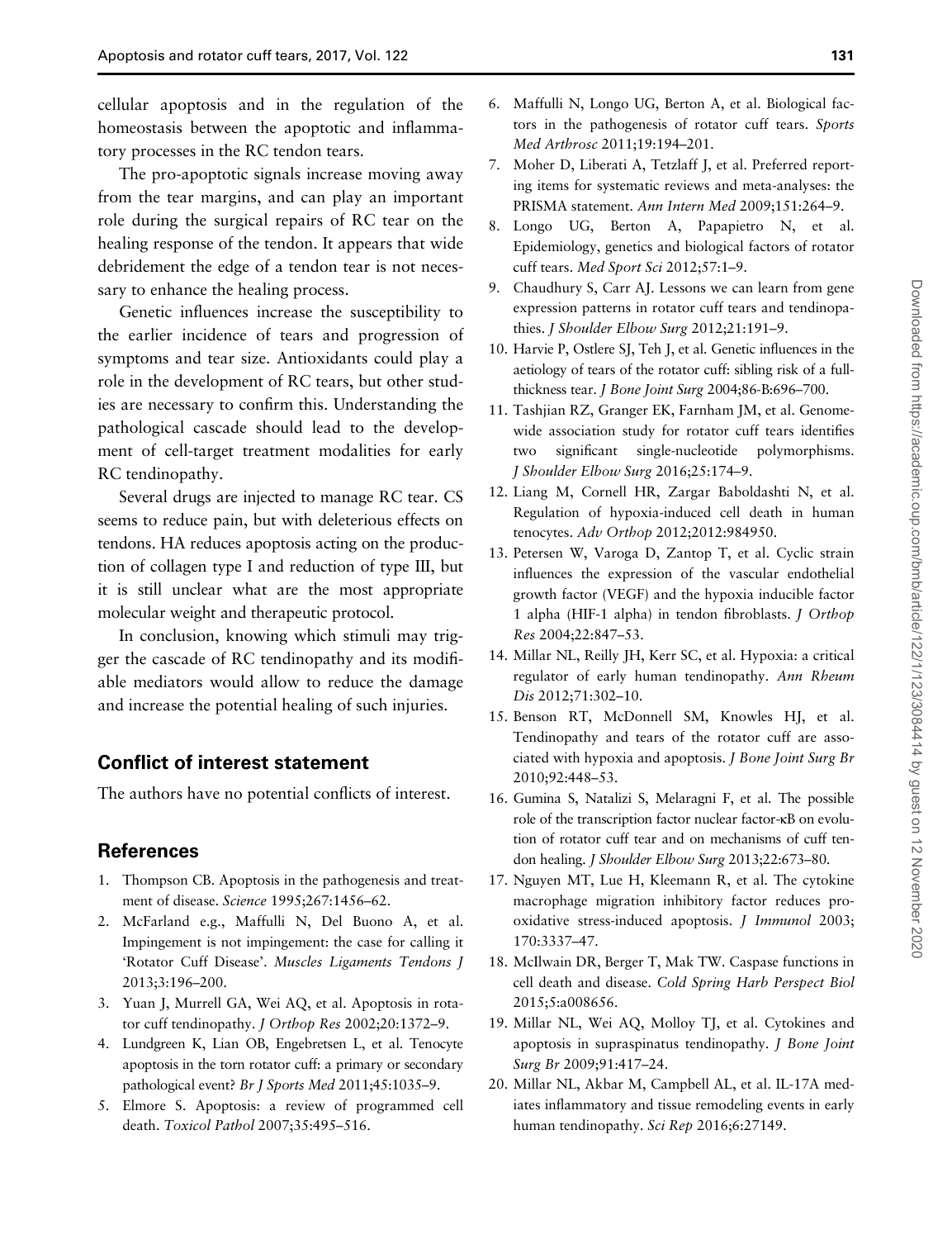<span id="page-8-0"></span>cellular apoptosis and in the regulation of the homeostasis between the apoptotic and inflammatory processes in the RC tendon tears.

The pro-apoptotic signals increase moving away from the tear margins, and can play an important role during the surgical repairs of RC tear on the healing response of the tendon. It appears that wide debridement the edge of a tendon tear is not necessary to enhance the healing process.

Genetic influences increase the susceptibility to the earlier incidence of tears and progression of symptoms and tear size. Antioxidants could play a role in the development of RC tears, but other studies are necessary to confirm this. Understanding the pathological cascade should lead to the development of cell-target treatment modalities for early RC tendinopathy.

Several drugs are injected to manage RC tear. CS seems to reduce pain, but with deleterious effects on tendons. HA reduces apoptosis acting on the production of collagen type I and reduction of type III, but it is still unclear what are the most appropriate molecular weight and therapeutic protocol.

In conclusion, knowing which stimuli may trigger the cascade of RC tendinopathy and its modifiable mediators would allow to reduce the damage and increase the potential healing of such injuries.

# Conflict of interest statement

The authors have no potential conflicts of interest.

# References

- 1. Thompson CB. Apoptosis in the pathogenesis and treatment of disease. Science 1995;267:1456–62.
- 2. McFarland e.g., Maffulli N, Del Buono A, et al. Impingement is not impingement: the case for calling it 'Rotator Cuff Disease'. Muscles Ligaments Tendons J 2013;3:196–200.
- 3. Yuan J, Murrell GA, Wei AQ, et al. Apoptosis in rotator cuff tendinopathy. J Orthop Res 2002;20:1372–9.
- 4. Lundgreen K, Lian OB, Engebretsen L, et al. Tenocyte apoptosis in the torn rotator cuff: a primary or secondary pathological event? Br J Sports Med 2011;45:1035–9.
- 5. Elmore S. Apoptosis: a review of programmed cell death. Toxicol Pathol 2007;35:495–516.
- 6. Maffulli N, Longo UG, Berton A, et al. Biological factors in the pathogenesis of rotator cuff tears. Sports Med Arthrosc 2011;19:194–201.
- 7. Moher D, Liberati A, Tetzlaff J, et al. Preferred reporting items for systematic reviews and meta-analyses: the PRISMA statement. Ann Intern Med 2009;151:264–9.
- 8. Longo UG, Berton A, Papapietro N, et al. Epidemiology, genetics and biological factors of rotator cuff tears. Med Sport Sci 2012;57:1–9.
- 9. Chaudhury S, Carr AJ. Lessons we can learn from gene expression patterns in rotator cuff tears and tendinopathies. J Shoulder Elbow Surg 2012;21:191-9.
- 10. Harvie P, Ostlere SJ, Teh J, et al. Genetic influences in the aetiology of tears of the rotator cuff: sibling risk of a fullthickness tear. J Bone Joint Surg 2004;86-B:696-700.
- 11. Tashjian RZ, Granger EK, Farnham JM, et al. Genomewide association study for rotator cuff tears identifies two significant single-nucleotide polymorphisms. J Shoulder Elbow Surg 2016;25:174–9.
- 12. Liang M, Cornell HR, Zargar Baboldashti N, et al. Regulation of hypoxia-induced cell death in human tenocytes. Adv Orthop 2012;2012:984950.
- 13. Petersen W, Varoga D, Zantop T, et al. Cyclic strain influences the expression of the vascular endothelial growth factor (VEGF) and the hypoxia inducible factor 1 alpha (HIF-1 alpha) in tendon fibroblasts. J Orthop Res 2004;22:847–53.
- 14. Millar NL, Reilly JH, Kerr SC, et al. Hypoxia: a critical regulator of early human tendinopathy. Ann Rheum Dis 2012;71:302–10.
- 15. Benson RT, McDonnell SM, Knowles HJ, et al. Tendinopathy and tears of the rotator cuff are associated with hypoxia and apoptosis. J Bone Joint Surg Br 2010;92:448–53.
- 16. Gumina S, Natalizi S, Melaragni F, et al. The possible role of the transcription factor nuclear factor-κB on evolution of rotator cuff tear and on mechanisms of cuff tendon healing. J Shoulder Elbow Surg 2013;22:673-80.
- 17. Nguyen MT, Lue H, Kleemann R, et al. The cytokine macrophage migration inhibitory factor reduces prooxidative stress-induced apoptosis. J Immunol 2003; 170:3337–47.
- 18. McIlwain DR, Berger T, Mak TW. Caspase functions in cell death and disease. Cold Spring Harb Perspect Biol 2015;5:a008656.
- 19. Millar NL, Wei AQ, Molloy TJ, et al. Cytokines and apoptosis in supraspinatus tendinopathy. J Bone Joint Surg Br 2009;91:417–24.
- 20. Millar NL, Akbar M, Campbell AL, et al. IL-17A mediates inflammatory and tissue remodeling events in early human tendinopathy. Sci Rep 2016;6:27149.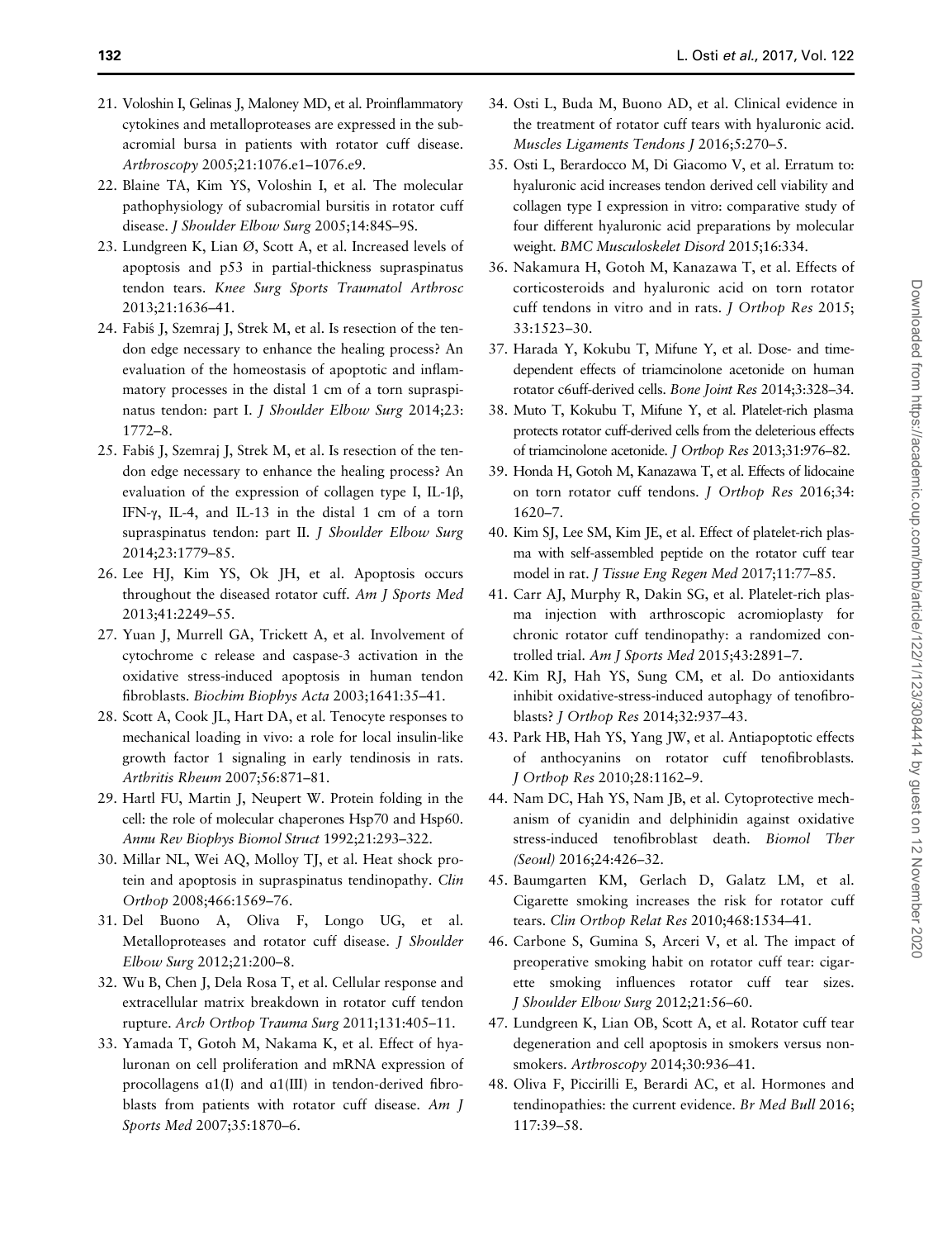- <span id="page-9-0"></span>21. Voloshin I, Gelinas J, Maloney MD, et al. Proinflammatory cytokines and metalloproteases are expressed in the subacromial bursa in patients with rotator cuff disease. Arthroscopy 2005;21:1076.e1–1076.e9.
- 22. Blaine TA, Kim YS, Voloshin I, et al. The molecular pathophysiology of subacromial bursitis in rotator cuff disease. J Shoulder Elbow Surg 2005;14:84S-9S.
- 23. Lundgreen K, Lian Ø, Scott A, et al. Increased levels of apoptosis and p53 in partial-thickness supraspinatus tendon tears. Knee Surg Sports Traumatol Arthrosc 2013;21:1636–41.
- 24. Fabis J, Szemraj J, Strek M, et al. Is resection of the tendon edge necessary to enhance the healing process? An evaluation of the homeostasis of apoptotic and inflammatory processes in the distal 1 cm of a torn supraspinatus tendon: part I. J Shoulder Elbow Surg 2014;23: 1772–8.
- 25. Fabiś J, Szemraj J, Strek M, et al. Is resection of the tendon edge necessary to enhance the healing process? An evaluation of the expression of collagen type I, IL-1β, IFN-γ, IL-4, and IL-13 in the distal 1 cm of a torn supraspinatus tendon: part II. J Shoulder Elbow Surg 2014;23:1779–85.
- 26. Lee HJ, Kim YS, Ok JH, et al. Apoptosis occurs throughout the diseased rotator cuff. Am J Sports Med 2013;41:2249–55.
- 27. Yuan J, Murrell GA, Trickett A, et al. Involvement of cytochrome c release and caspase-3 activation in the oxidative stress-induced apoptosis in human tendon fibroblasts. Biochim Biophys Acta 2003;1641:35–41.
- 28. Scott A, Cook JL, Hart DA, et al. Tenocyte responses to mechanical loading in vivo: a role for local insulin-like growth factor 1 signaling in early tendinosis in rats. Arthritis Rheum 2007;56:871–81.
- 29. Hartl FU, Martin J, Neupert W. Protein folding in the cell: the role of molecular chaperones Hsp70 and Hsp60. Annu Rev Biophys Biomol Struct 1992;21:293–322.
- 30. Millar NL, Wei AQ, Molloy TJ, et al. Heat shock protein and apoptosis in supraspinatus tendinopathy. Clin Orthop 2008;466:1569–76.
- 31. Del Buono A, Oliva F, Longo UG, et al. Metalloproteases and rotator cuff disease. J Shoulder Elbow Surg 2012;21:200–8.
- 32. Wu B, Chen J, Dela Rosa T, et al. Cellular response and extracellular matrix breakdown in rotator cuff tendon rupture. Arch Orthop Trauma Surg 2011;131:405–11.
- 33. Yamada T, Gotoh M, Nakama K, et al. Effect of hyaluronan on cell proliferation and mRNA expression of procollagens ɑ1(I) and ɑ1(III) in tendon-derived fibroblasts from patients with rotator cuff disease. Am J Sports Med 2007;35:1870–6.
- 34. Osti L, Buda M, Buono AD, et al. Clinical evidence in the treatment of rotator cuff tears with hyaluronic acid. Muscles Ligaments Tendons J 2016;5:270–5.
- 35. Osti L, Berardocco M, Di Giacomo V, et al. Erratum to: hyaluronic acid increases tendon derived cell viability and collagen type I expression in vitro: comparative study of four different hyaluronic acid preparations by molecular weight. BMC Musculoskelet Disord 2015;16:334.
- 36. Nakamura H, Gotoh M, Kanazawa T, et al. Effects of corticosteroids and hyaluronic acid on torn rotator cuff tendons in vitro and in rats. J Orthop Res 2015; 33:1523–30.
- 37. Harada Y, Kokubu T, Mifune Y, et al. Dose- and timedependent effects of triamcinolone acetonide on human rotator c6uff-derived cells. Bone Joint Res 2014;3:328–34.
- 38. Muto T, Kokubu T, Mifune Y, et al. Platelet-rich plasma protects rotator cuff-derived cells from the deleterious effects of triamcinolone acetonide. J Orthop Res 2013;31:976–82.
- 39. Honda H, Gotoh M, Kanazawa T, et al. Effects of lidocaine on torn rotator cuff tendons. J Orthop Res 2016;34: 1620–7.
- 40. Kim SJ, Lee SM, Kim JE, et al. Effect of platelet-rich plasma with self-assembled peptide on the rotator cuff tear model in rat. J Tissue Eng Regen Med 2017;11:77–85.
- 41. Carr AJ, Murphy R, Dakin SG, et al. Platelet-rich plasma injection with arthroscopic acromioplasty for chronic rotator cuff tendinopathy: a randomized controlled trial. Am J Sports Med 2015;43:2891–7.
- 42. Kim RJ, Hah YS, Sung CM, et al. Do antioxidants inhibit oxidative-stress-induced autophagy of tenofibroblasts? J Orthop Res 2014;32:937–43.
- 43. Park HB, Hah YS, Yang JW, et al. Antiapoptotic effects of anthocyanins on rotator cuff tenofibroblasts. J Orthop Res 2010;28:1162–9.
- 44. Nam DC, Hah YS, Nam JB, et al. Cytoprotective mechanism of cyanidin and delphinidin against oxidative stress-induced tenofibroblast death. Biomol Ther (Seoul) 2016;24:426–32.
- 45. Baumgarten KM, Gerlach D, Galatz LM, et al. Cigarette smoking increases the risk for rotator cuff tears. Clin Orthop Relat Res 2010;468:1534–41.
- 46. Carbone S, Gumina S, Arceri V, et al. The impact of preoperative smoking habit on rotator cuff tear: cigarette smoking influences rotator cuff tear sizes. J Shoulder Elbow Surg 2012;21:56–60.
- 47. Lundgreen K, Lian OB, Scott A, et al. Rotator cuff tear degeneration and cell apoptosis in smokers versus nonsmokers. Arthroscopy 2014;30:936-41.
- 48. Oliva F, Piccirilli E, Berardi AC, et al. Hormones and tendinopathies: the current evidence. Br Med Bull 2016; 117:39–58.